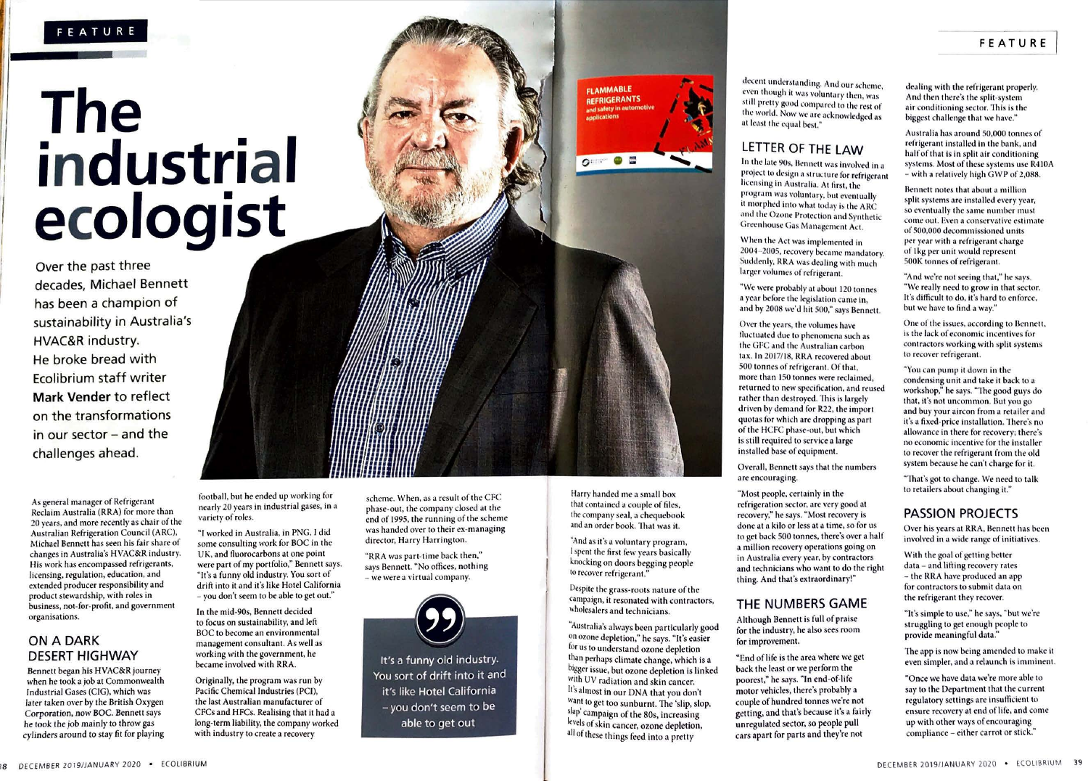## **The industrial ecologist**

Over the past three decades, Michael Bennett has been a champion of sustainability in Australia's HVAC&R industry. He broke bread with Ecolibrium staff writer **Mark Vender** to reflect on the transformations in our sector - and the challenges ahead.

As general manager of Refrigerant Reclaim Australia (RRA) for more than 20 years, and more recently as chair of the Australian Refrigeration Council (ARC), Michael Bennett has seen his fair share of changes in Australia's HVAC&R industry. His work has encompassed refrigerants, licensing, regulation, education, and extended producer responsibility and product stewardship, with roles in business, not-for-profit, and government organisations.

#### ON A DARK DESERT HIGHWAY

Bennett began his HVAC&R journer when he took a job at Commonwealth Industrial Gases (CIG), which was later taken over by the British Oxrgen Corporation, now BOC. Bennett says he took the job mainly to throw gas cylinders around to stay fit for playing

football, but he ended up working for nearly 20 years in industrial gases, in a variety of roles.

"I worked in Australia, in PNG. I did some consulting work for BOC in the UK, and fluorocarbons at one point were part of my portfolio," Bennett says. "It's a funny old industry. You sort of drift into it and it's like Hotel California - you don't seem to be able to get out."

In the mid-90s, Bennett decided to focus on sustainability, and left BOC to become an environmental management consultant. As well as working with the government, he became involved with RRA.

Originally, the program was run by Pacific Chemical Industries {PCJ), the last Australian manufacturer of CFCs and HFCs. Realising that it had a long•term liability, the company worked with industry to create a recovery

scheme. When, as a result of the CFC phase·out, the company closed at the end of 1995, the running of the scheme was handed over to their ex-managing director, Harry Harrington.

"RRA was part-time back then," says Bennett. "No offices, nothing - we were a virtual company.



You sort of drift into it and it's like Hotel California - you don't seem to be able to get out

**FLAMMABLE** REFRIGERANTS and safety in au

 $\circ$   $\bullet$   $\circ$ 

still pretty good compared to the rest of the world. Now we are acknowledged as at least the equal best."

### LETTER OF THE LAW

decent understanding. And our scheme, even though it was voluntary then, was

In the late 90s, Bennett was involved in a project to design a structure for refrigerant licensing in Australia. At first, the program was voluntary, but eventually it morphed into what today is the ARC and the Ozone Protection and Synthetic Greenhouse Gas Management Act.

When the Act was implemented in 2004-2005, recovery became mandatory. Suddenly, RRA was dealing with much larger volumes of refrigerant.

"We were probably at about 120 tonnes a year before the legislation came in, and by 2008 we'd hit 500," says Bennett.

Over the years, the volumes have fluctuated due to phenomena such as the GFC and the Australian carbon tax. In 2017/18, RRA recovered about 500 tonnes of refrigerant. Of that, more than 150 tonnes were reclaimed, returned to new specification, and reused rather than destroyed. This is largely driven by demand for R22, the import quotas for which are dropping as part of the HCFC phase-out, but which is still required to service a large installed base of equipment

Overall, Bennett says that the numbers are encouraging.

"Most people, certainly in the refrigeration sector, are very good at recovery," he says. "Most recovery is done at a kilo or less at a time, so for us to get back 500 tonnes, there's over a half a million recovery operations going on in Australia every year, by contractors and technicians who want to do the right thing. And that's extraordinary!"

#### THE NUMBERS GAME

Although Bennett is full of praise for the industry, he also sees room for improvement.

"End of life is the area where we get back the least or we perform the poorest," he says. "In end-of-life motor vehicles, there's probably a couple of hundred tonnes we're not getting, and that's because it's a fairly unregulated sector, so people pull cars apart for parts and they're not

dealing with the refrigerant properly. And then there's the split-system air conditioning sector. This is the biggest challenge that we have."

Australia has around 50,000 tonnes of refrigerant installed in the bank, and half of that is in split air conditioning systems. Most of these systems use R410A  $-$  with a relatively high GWP of  $2.088$ .

Bennett notes that about a million split systems are installed every year, so eventually the same number must come out. Even a conservative estimate of 500,000 decommissioned units per year with a refrigerant charge of 1kg per unit would represent 500K tonnes of refrigerant.

"And we're not seeing that," he says. "We really need to grow in that sector. It's difficult to do, it's hard to enforce. but we have to find a way."

One of the issues, according to Bennett, is the lack of economic incentives for contractors working with split systems to recover refrigerant.

"You can pump it down in the condensing unit and take it back to a workshop," he says. "The good guys do that, it's not uncommon. But you go and buy your aircon from a retailer and it's a fixed-price installation. There's no allowance in there for recovery; there's no economic incentive for the installer to recover the refrigerant from the old system because he can't charge for it.

"That's got to change. We need to talk to retailers about changing it."

#### PASSION PROJECTS

Over his years at RRA, Bennett has been involved in a wide range of initiatives.

With the goal of getting better data - and lifting recovery rates - the RRA have produced an app for contractors to submit data on the refrigerant they recover.

"It's simple to use," he says. "bu1 we're struggling to get enough people to provide meaningful data."

The app is now being amended to make it even simpler, and a relaunch is imminen1.

"Once we have data we're more able to say to the Department that the current regulatory settings are insutficient to ensure recovery at end of life, and come up with other ways of encouraging compliance - either carrot or stick."

Harry handed me a small box that contained a couple of files, the company seal, a chequebook

and an order book. That was it. "And as it's a voluntary program, I spent the first few years basically knocking on doors begging people to recover refrigerant."

Despite the grass-roots nature of the campaign. it resonated with contractors, wholesalers and technicians.

"Australia's always been particularly good on ozone depletion," he says. "It's easier for us to understand ozone depletion than perhaps climate change, which is a bigger issue, but ozone depletion is linked With UV radiation and skin cancer. It's almost in our DNA that you don't want to get too sunburnt. The 'slip, slop, slap' campaign of the 80s, increasing levels of skin cancer, ozone depletion, all of these things feed into a pretty